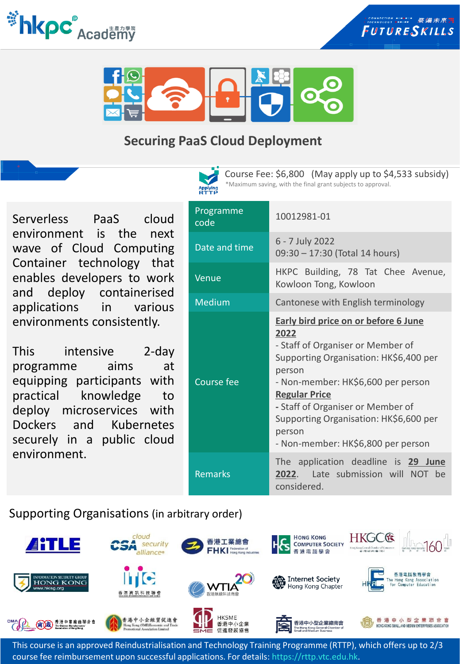





# **Securing PaaS Cloud Deployment**



Course Fee: \$6,800 (May apply up to \$4,533 subsidy) \*Maximum saving, with the final grant subjects to approval.

Serverless PaaS cloud environment is the next wave of Cloud Computing Container technology that enables developers to work and deploy containerised applications in various environments consistently.

This intensive 2-day programme aims at equipping participants with practical knowledge to deploy microservices with Dockers and Kubernetes securely in a public cloud environment.

| Programme<br>code | 10012981-01                                                                                                                                                                                                                                                                                                                               |
|-------------------|-------------------------------------------------------------------------------------------------------------------------------------------------------------------------------------------------------------------------------------------------------------------------------------------------------------------------------------------|
| Date and time     | 6 - 7 July 2022<br>09:30 - 17:30 (Total 14 hours)                                                                                                                                                                                                                                                                                         |
| Venue             | HKPC Building, 78 Tat Chee Avenue,<br>Kowloon Tong, Kowloon                                                                                                                                                                                                                                                                               |
| <b>Medium</b>     | Cantonese with English terminology                                                                                                                                                                                                                                                                                                        |
| <b>Course fee</b> | <b>Early bird price on or before 6 June</b><br>2022<br>- Staff of Organiser or Member of<br>Supporting Organisation: HK\$6,400 per<br>person<br>- Non-member: HK\$6,600 per person<br><b>Regular Price</b><br>- Staff of Organiser or Member of<br>Supporting Organisation: HK\$6,600 per<br>person<br>- Non-member: HK\$6,800 per person |
| <b>Remarks</b>    | The application deadline is 29 June<br>Late submission will NOT be<br>2022.<br>considered.                                                                                                                                                                                                                                                |

Supporting Organisations (in arbitrary order)



This course is an approved Reindustrialisation and Technology Training Programme (RTTP), which offers up to 2/3 course fee reimbursement upon successful applications. For details: https://rttp.vtc.edu.hk.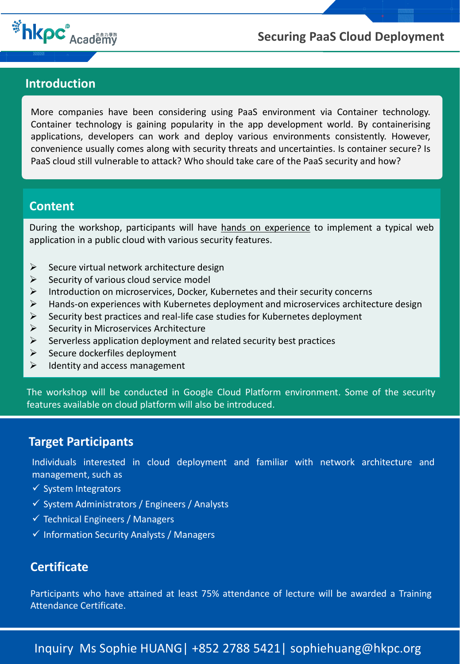

### **Securing PaaS Cloud Deployment**

#### **Introduction**

More companies have been considering using PaaS environment via Container technology. Container technology is gaining popularity in the app development world. By containerising applications, developers can work and deploy various environments consistently. However, convenience usually comes along with security threats and uncertainties. Is container secure? Is PaaS cloud still vulnerable to attack? Who should take care of the PaaS security and how?

#### **Content**

During the workshop, participants will have hands on experience to implement a typical web application in a public cloud with various security features.

- $\triangleright$  Secure virtual network architecture design
- $\triangleright$  Security of various cloud service model
- ➢ Introduction on microservices, Docker, Kubernetes and their security concerns
- $\triangleright$  Hands-on experiences with Kubernetes deployment and microservices architecture design
- $\triangleright$  Security best practices and real-life case studies for Kubernetes deployment
- ➢ Security in Microservices Architecture
- $\triangleright$  Serverless application deployment and related security best practices
- $\triangleright$  Secure dockerfiles deployment
- $\triangleright$  Identity and access management

The workshop will be conducted in Google Cloud Platform environment. Some of the security features available on cloud platform will also be introduced.

#### **Target Participants**

Individuals interested in cloud deployment and familiar with network architecture and management, such as

- ✓ System Integrators
- ✓ System Administrators / Engineers / Analysts
- $\checkmark$  Technical Engineers / Managers
- ✓ Information Security Analysts / Managers

#### **Certificate**

Participants who have attained at least 75% attendance of lecture will be awarded a Training Attendance Certificate.

Inquiry Ms Sophie HUANG| +852 2788 5421| sophiehuang@hkpc.org